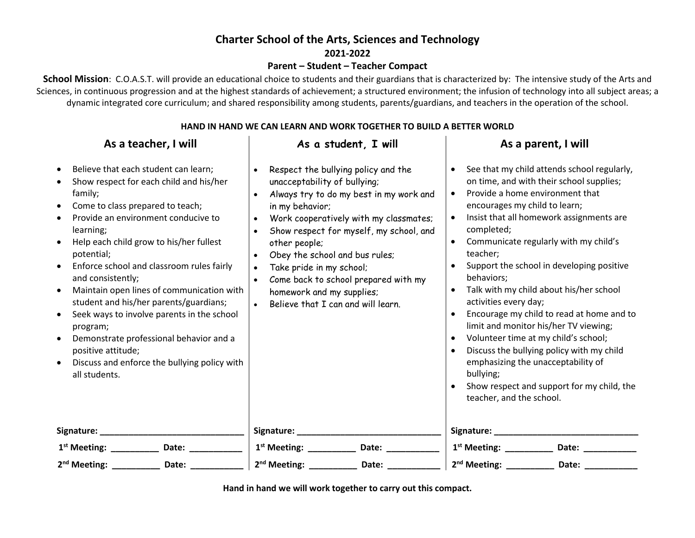# **Charter School of the Arts, Sciences and Technology**

**2021-2022**

#### **Parent – Student – Teacher Compact**

**School Mission**: C.O.A.S.T. will provide an educational choice to students and their guardians that is characterized by: The intensive study of the Arts and Sciences, in continuous progression and at the highest standards of achievement; a structured environment; the infusion of technology into all subject areas; a dynamic integrated core curriculum; and shared responsibility among students, parents/guardians, and teachers in the operation of the school.

### **HAND IN HAND WE CAN LEARN AND WORK TOGETHER TO BUILD A BETTER WORLD**

| As a teacher, I will                                                                                                                                                                                                                                                                                                                                                                                                                                                                                                                                                                                                       | As a student, I will                                                                                                                                                                                                                                                                                                                                                                                                                                                                           | As a parent, I will                                                                                                                                                                                                                                                                                                                                                                                                                                                                                                                                                                                                                                                                                                                                      |
|----------------------------------------------------------------------------------------------------------------------------------------------------------------------------------------------------------------------------------------------------------------------------------------------------------------------------------------------------------------------------------------------------------------------------------------------------------------------------------------------------------------------------------------------------------------------------------------------------------------------------|------------------------------------------------------------------------------------------------------------------------------------------------------------------------------------------------------------------------------------------------------------------------------------------------------------------------------------------------------------------------------------------------------------------------------------------------------------------------------------------------|----------------------------------------------------------------------------------------------------------------------------------------------------------------------------------------------------------------------------------------------------------------------------------------------------------------------------------------------------------------------------------------------------------------------------------------------------------------------------------------------------------------------------------------------------------------------------------------------------------------------------------------------------------------------------------------------------------------------------------------------------------|
| Believe that each student can learn;<br>$\bullet$<br>Show respect for each child and his/her<br>family;<br>Come to class prepared to teach;<br>$\bullet$<br>Provide an environment conducive to<br>learning;<br>Help each child grow to his/her fullest<br>potential;<br>Enforce school and classroom rules fairly<br>and consistently;<br>Maintain open lines of communication with<br>student and his/her parents/guardians;<br>Seek ways to involve parents in the school<br>program;<br>Demonstrate professional behavior and a<br>positive attitude;<br>Discuss and enforce the bullying policy with<br>all students. | Respect the bullying policy and the<br>$\bullet$<br>unacceptability of bullying;<br>Always try to do my best in my work and<br>$\bullet$<br>in my behavior;<br>Work cooperatively with my classmates;<br>$\bullet$<br>Show respect for myself, my school, and<br>other people;<br>Obey the school and bus rules;<br>$\bullet$<br>Take pride in my school;<br>$\bullet$<br>Come back to school prepared with my<br>homework and my supplies;<br>Believe that I can and will learn.<br>$\bullet$ | See that my child attends school regularly,<br>$\bullet$<br>on time, and with their school supplies;<br>Provide a home environment that<br>$\bullet$<br>encourages my child to learn;<br>Insist that all homework assignments are<br>completed;<br>Communicate regularly with my child's<br>$\bullet$<br>teacher:<br>Support the school in developing positive<br>behaviors;<br>Talk with my child about his/her school<br>activities every day;<br>Encourage my child to read at home and to<br>limit and monitor his/her TV viewing;<br>Volunteer time at my child's school;<br>Discuss the bullying policy with my child<br>emphasizing the unacceptability of<br>bullying;<br>Show respect and support for my child, the<br>teacher, and the school. |
|                                                                                                                                                                                                                                                                                                                                                                                                                                                                                                                                                                                                                            |                                                                                                                                                                                                                                                                                                                                                                                                                                                                                                |                                                                                                                                                                                                                                                                                                                                                                                                                                                                                                                                                                                                                                                                                                                                                          |
| Date:                                                                                                                                                                                                                                                                                                                                                                                                                                                                                                                                                                                                                      | $1^{st}$ Meeting: __________<br>Date: $\frac{ }{ }$                                                                                                                                                                                                                                                                                                                                                                                                                                            | $1^{st}$ Meeting: __________<br>Date: the contract of the contract of the contract of the contract of the contract of the contract of the contract of the contract of the contract of the contract of the contract of the contract of the contract of the cont                                                                                                                                                                                                                                                                                                                                                                                                                                                                                           |
| $2nd$ Meeting: __________<br>Date:                                                                                                                                                                                                                                                                                                                                                                                                                                                                                                                                                                                         | 2 <sup>nd</sup> Meeting: _________<br>Date: $\_\_$                                                                                                                                                                                                                                                                                                                                                                                                                                             | 2 <sup>nd</sup> Meeting: __________<br>Date: and the state of the state of the state of the state of the state of the state of the state of the state                                                                                                                                                                                                                                                                                                                                                                                                                                                                                                                                                                                                    |

**Hand in hand we will work together to carry out this compact.**